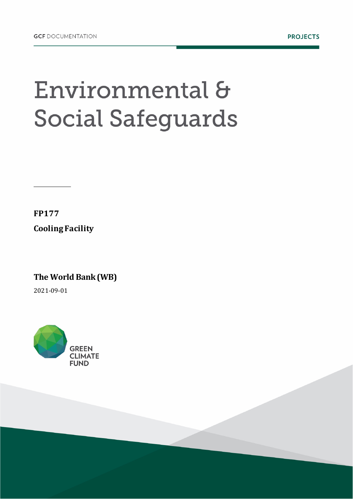## Environmental & **Social Safeguards**

**FP177 Cooling Facility**

**The World Bank (WB)** 

2021-09-01

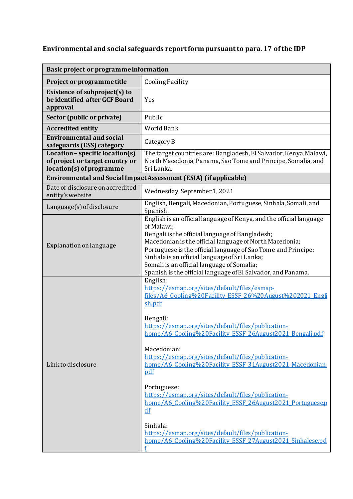## **Environmental and social safeguards reportform pursuant to para. 17 of the IDP**

| Basic project or programme information                                                           |                                                                                                                                                                                                                                                                                                                                                                                                                                                                                                                                                                                                                                                                              |  |
|--------------------------------------------------------------------------------------------------|------------------------------------------------------------------------------------------------------------------------------------------------------------------------------------------------------------------------------------------------------------------------------------------------------------------------------------------------------------------------------------------------------------------------------------------------------------------------------------------------------------------------------------------------------------------------------------------------------------------------------------------------------------------------------|--|
| Project or programme title                                                                       | <b>Cooling Facility</b>                                                                                                                                                                                                                                                                                                                                                                                                                                                                                                                                                                                                                                                      |  |
| Existence of subproject(s) to<br>be identified after GCF Board<br>approval                       | Yes                                                                                                                                                                                                                                                                                                                                                                                                                                                                                                                                                                                                                                                                          |  |
| Sector (public or private)                                                                       | Public                                                                                                                                                                                                                                                                                                                                                                                                                                                                                                                                                                                                                                                                       |  |
| <b>Accredited entity</b>                                                                         | World Bank                                                                                                                                                                                                                                                                                                                                                                                                                                                                                                                                                                                                                                                                   |  |
| <b>Environmental and social</b><br>safeguards (ESS) category                                     | Category B                                                                                                                                                                                                                                                                                                                                                                                                                                                                                                                                                                                                                                                                   |  |
| $Location - specific location(s)$<br>of project or target country or<br>location(s) of programme | The target countries are: Bangladesh, El Salvador, Kenya, Malawi,<br>North Macedonia, Panama, Sao Tome and Principe, Somalia, and<br>Sri Lanka.                                                                                                                                                                                                                                                                                                                                                                                                                                                                                                                              |  |
| Environmental and Social Impact Assessment (ESIA) (if applicable)                                |                                                                                                                                                                                                                                                                                                                                                                                                                                                                                                                                                                                                                                                                              |  |
| Date of disclosure on accredited<br>entity's website                                             | Wednesday, September 1, 2021                                                                                                                                                                                                                                                                                                                                                                                                                                                                                                                                                                                                                                                 |  |
| Language(s) of disclosure                                                                        | English, Bengali, Macedonian, Portuguese, Sinhala, Somali, and<br>Spanish.                                                                                                                                                                                                                                                                                                                                                                                                                                                                                                                                                                                                   |  |
| Explanation on language                                                                          | English is an official language of Kenya, and the official language<br>of Malawi;<br>Bengali is the official language of Bangladesh;<br>Macedonian is the official language of North Macedonia;<br>Portuguese is the official language of Sao Tome and Principe;<br>Sinhala is an official language of Sri Lanka;<br>Somali is an official language of Somalia;<br>Spanish is the official language of El Salvador, and Panama.                                                                                                                                                                                                                                              |  |
| Link to disclosure                                                                               | English:<br>https://esmap.org/sites/default/files/esmap-<br>files/A6 Cooling%20Facility ESSF 26%20August%202021 Engli<br>sh.pdf<br>Bengali:<br>https://esmap.org/sites/default/files/publication-<br>home/A6 Cooling%20Facility ESSF 26August2021 Bengali.pdf<br>Macedonian:<br>https://esmap.org/sites/default/files/publication-<br>home/A6 Cooling%20Facility ESSF 31August2021 Macedonian.<br>pdf<br>Portuguese:<br>https://esmap.org/sites/default/files/publication-<br>home/A6 Cooling%20Facility ESSF 26August2021 Portuguese.p<br>df<br>Sinhala:<br>https://esmap.org/sites/default/files/publication-<br>home/A6 Cooling%20Facility ESSF 27August2021 Sinhalese.pd |  |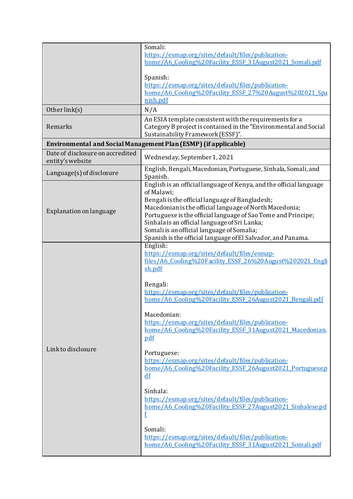|                                                      | Somali:                                                                                                                  |
|------------------------------------------------------|--------------------------------------------------------------------------------------------------------------------------|
|                                                      | https://esmap.org/sites/default/files/publication-                                                                       |
|                                                      | home/A6 Cooling%20Facility ESSF 31August2021 Somali.pdf                                                                  |
|                                                      |                                                                                                                          |
|                                                      | Spanish:                                                                                                                 |
|                                                      | https://esmap.org/sites/default/files/publication-                                                                       |
|                                                      | home/A6 Cooling%20Facility ESSF 27%20August%202021 Spa                                                                   |
|                                                      | nish.pdf                                                                                                                 |
| Other link(s)                                        | N/A                                                                                                                      |
| Remarks                                              | An ESIA template consistent with the requirements for a                                                                  |
|                                                      | Category B project is contained in the "Environmental and Social                                                         |
|                                                      | Sustainability Framework (ESSF)".                                                                                        |
|                                                      | Environmental and Social Management Plan (ESMP) (if applicable)                                                          |
| Date of disclosure on accredited<br>entity's website | Wednesday, September 1, 2021                                                                                             |
| Language(s) of disclosure                            | English, Bengali, Macedonian, Portuguese, Sinhala, Somali, and                                                           |
|                                                      | Spanish.                                                                                                                 |
|                                                      | English is an official language of Kenya, and the official language                                                      |
|                                                      | of Malawi:                                                                                                               |
|                                                      | Bengali is the official language of Bangladesh;                                                                          |
| Explanation on language                              | Macedonian is the official language of North Macedonia;<br>Portuguese is the official language of Sao Tome and Principe; |
|                                                      | Sinhala is an official language of Sri Lanka;                                                                            |
|                                                      | Somali is an official language of Somalia;                                                                               |
|                                                      | Spanish is the official language of El Salvador, and Panama.                                                             |
|                                                      | English:                                                                                                                 |
|                                                      | https://esmap.org/sites/default/files/esmap-                                                                             |
|                                                      | files/A6 Cooling%20Facility ESSF 26%20August%202021 Engli                                                                |
|                                                      | sh.pdf                                                                                                                   |
|                                                      |                                                                                                                          |
|                                                      | Bengali:                                                                                                                 |
|                                                      | https://esmap.org/sites/default/files/publication-                                                                       |
|                                                      | home/A6 Cooling%20Facility ESSF 26August2021 Bengali.pdf                                                                 |
|                                                      |                                                                                                                          |
|                                                      | Macedonian:                                                                                                              |
|                                                      | https://esmap.org/sites/default/files/publication-                                                                       |
|                                                      | home/A6 Cooling%20Facility ESSF 31August2021 Macedonian.                                                                 |
|                                                      | pdf                                                                                                                      |
| Link to disclosure                                   |                                                                                                                          |
|                                                      | Portuguese:                                                                                                              |
|                                                      | https://esmap.org/sites/default/files/publication-                                                                       |
|                                                      | home/A6 Cooling%20Facility ESSF 26August2021 Portuguese.p<br>df                                                          |
|                                                      |                                                                                                                          |
|                                                      | Sinhala:                                                                                                                 |
|                                                      | https://esmap.org/sites/default/files/publication-                                                                       |
|                                                      | home/A6 Cooling%20Facility ESSF 27August2021 Sinhalese.pd                                                                |
|                                                      | f                                                                                                                        |
|                                                      |                                                                                                                          |
|                                                      | Somali:                                                                                                                  |
|                                                      | https://esmap.org/sites/default/files/publication-                                                                       |
|                                                      | home/A6 Cooling%20Facility ESSF 31August2021 Somali.pdf                                                                  |
|                                                      |                                                                                                                          |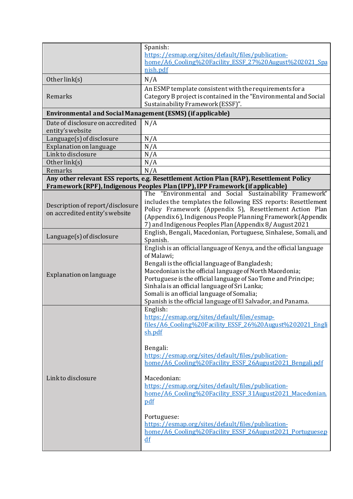|                                                                   | Spanish:                                                                                    |  |
|-------------------------------------------------------------------|---------------------------------------------------------------------------------------------|--|
|                                                                   | https://esmap.org/sites/default/files/publication-                                          |  |
|                                                                   | home/A6 Cooling%20Facility ESSF 27%20August%202021 Spa                                      |  |
|                                                                   | nish.pdf                                                                                    |  |
| Other link(s)                                                     | N/A                                                                                         |  |
|                                                                   | An ESMP template consistent with the requirements for a                                     |  |
| Remarks                                                           | Category B project is contained in the "Environmental and Social                            |  |
|                                                                   | Sustainability Framework (ESSF)".                                                           |  |
| <b>Environmental and Social Management (ESMS) (if applicable)</b> |                                                                                             |  |
| Date of disclosure on accredited                                  | N/A                                                                                         |  |
| entity's website                                                  |                                                                                             |  |
| Language(s) of disclosure                                         | N/A                                                                                         |  |
| Explanation on language                                           | N/A                                                                                         |  |
| Linkto disclosure                                                 | N/A                                                                                         |  |
| Other link(s)                                                     | N/A                                                                                         |  |
| Remarks                                                           | N/A                                                                                         |  |
|                                                                   | Any other relevant ESS reports, e.g. Resettlement Action Plan (RAP), Resettlement Policy    |  |
|                                                                   | Framework (RPF), Indigenous Peoples Plan (IPP), IPP Framework (if applicable)               |  |
|                                                                   | The "Environmental and Social Sustainability Framework"                                     |  |
| Description of report/disclosure                                  | includes the templates the following ESS reports: Resettlement                              |  |
| on accredited entity's website                                    | Policy Framework (Appendix 5), Resettlement Action Plan                                     |  |
|                                                                   | (Appendix 6), Indigenous People Planning Framework (Appendix                                |  |
|                                                                   | 7) and Indigenous Peoples Plan (Appendix 8/ August 2021                                     |  |
| Language(s) of disclosure                                         | English, Bengali, Macedonian, Portuguese, Sinhalese, Somali, and                            |  |
|                                                                   | Spanish.                                                                                    |  |
|                                                                   | English is an official language of Kenya, and the official language                         |  |
|                                                                   | of Malawi;                                                                                  |  |
|                                                                   | Bengali is the official language of Bangladesh;                                             |  |
| Explanation on language                                           | Macedonian is the official language of North Macedonia;                                     |  |
|                                                                   | Portuguese is the official language of Sao Tome and Principe;                               |  |
|                                                                   | Sinhala is an official language of Sri Lanka;<br>Somali is an official language of Somalia; |  |
|                                                                   | Spanish is the official language of El Salvador, and Panama.                                |  |
|                                                                   | English:                                                                                    |  |
|                                                                   | https://esmap.org/sites/default/files/esmap-                                                |  |
|                                                                   | files/A6 Cooling%20Facility ESSF 26%20August%202021 Engli                                   |  |
|                                                                   | sh.pdf                                                                                      |  |
|                                                                   |                                                                                             |  |
|                                                                   | Bengali:                                                                                    |  |
|                                                                   | https://esmap.org/sites/default/files/publication-                                          |  |
|                                                                   | home/A6 Cooling%20Facility ESSF 26August2021 Bengali.pdf                                    |  |
|                                                                   |                                                                                             |  |
| Link to disclosure                                                | Macedonian:                                                                                 |  |
|                                                                   | https://esmap.org/sites/default/files/publication-                                          |  |
|                                                                   | home/A6 Cooling%20Facility ESSF 31August2021 Macedonian.                                    |  |
|                                                                   | pdf                                                                                         |  |
|                                                                   |                                                                                             |  |
|                                                                   | Portuguese:                                                                                 |  |
|                                                                   | https://esmap.org/sites/default/files/publication-                                          |  |
|                                                                   | home/A6 Cooling%20Facility ESSF 26August2021 Portuguese.p                                   |  |
|                                                                   | df                                                                                          |  |
|                                                                   |                                                                                             |  |